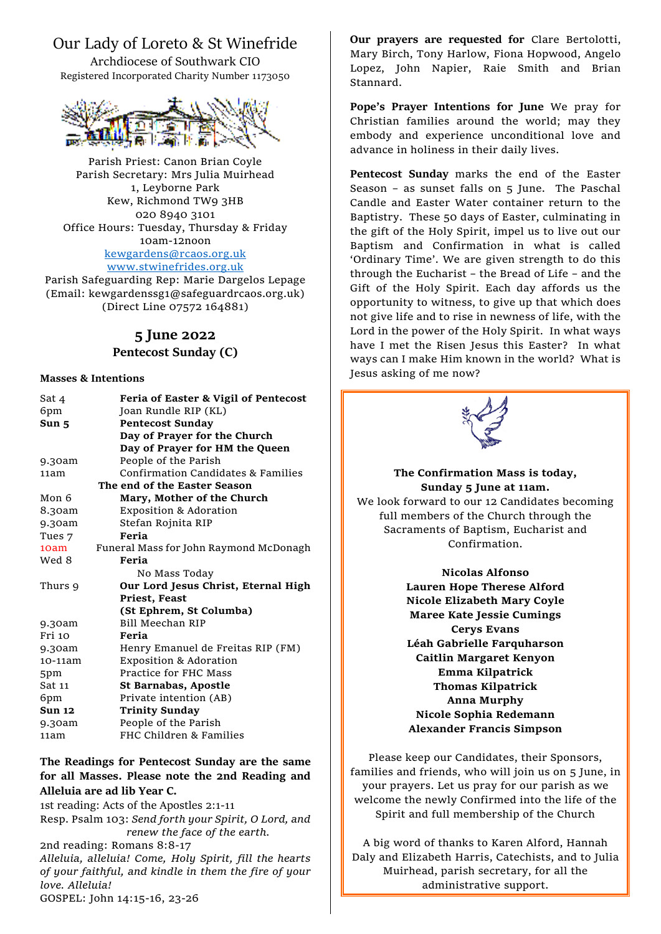# Our Lady of Loreto & St Winefride

Archdiocese of Southwark CIO Registered Incorporated Charity Number 1173050



Parish Priest: Canon Brian Coyle Parish Secretary: Mrs Julia Muirhead 1, Leyborne Park Kew, Richmond TW9 3HB 020 8940 3101 Office Hours: Tuesday, Thursday & Friday 10am-12noon [kewgardens@rcaos.org.uk](mailto:kewgardens@rcaos.org.uk) [www.stwinefrides.org.uk](http://www.stwinefrides.org.uk/)

Parish Safeguarding Rep: Marie Dargelos Lepage (Email: kewgardenssg1@safeguardrcaos.org.uk) (Direct Line 07572 164881)

### **5 June 2022**

#### **Pentecost Sunday (C)**

#### **Masses & Intentions**

| Sat 4         | Feria of Easter & Vigil of Pentecost   |
|---------------|----------------------------------------|
| 6pm           | Joan Rundle RIP (KL)                   |
| Sun 5         | <b>Pentecost Sunday</b>                |
|               | Day of Prayer for the Church           |
|               | Day of Prayer for HM the Queen         |
| 9.30am        | People of the Parish                   |
| 11am          | Confirmation Candidates & Families     |
|               | The end of the Easter Season           |
| Mon 6         | Mary, Mother of the Church             |
| 8.30am        | <b>Exposition &amp; Adoration</b>      |
| 9.30am        | Stefan Rojnita RIP                     |
| Tues 7        | Feria                                  |
| 10am          | Funeral Mass for John Raymond McDonagh |
| Wed 8         | Feria                                  |
|               | No Mass Today                          |
| Thurs 9       | Our Lord Jesus Christ, Eternal High    |
|               | Priest, Feast                          |
|               | (St Ephrem, St Columba)                |
| 9.30am        | <b>Bill Meechan RIP</b>                |
| Fri 10        | Feria                                  |
| 9.30am        | Henry Emanuel de Freitas RIP (FM)      |
| 10-11am       | <b>Exposition &amp; Adoration</b>      |
| 5pm           | Practice for FHC Mass                  |
| Sat 11        | St Barnabas, Apostle                   |
| 6pm           | Private intention (AB)                 |
| <b>Sun 12</b> | <b>Trinity Sunday</b>                  |
| 9.30am        | People of the Parish                   |
| 11am          | FHC Children & Families                |

#### **The Readings for Pentecost Sunday are the same for all Masses. Please note the 2nd Reading and Alleluia are ad lib Year C.**

1st reading: Acts of the Apostles 2:1-11 Resp. Psalm 103: *Send forth your Spirit, O Lord, and renew the face of the earth.* 2nd reading: Romans 8:8-17 *Alleluia, alleluia! Come, Holy Spirit, fill the hearts of your faithful, and kindle in them the fire of your love. Alleluia!* GOSPEL: John 14:15-16, 23-26

**Our prayers are requested for** Clare Bertolotti, Mary Birch, Tony Harlow, Fiona Hopwood, Angelo Lopez, John Napier, Raie Smith and Brian Stannard.

**Pope's Prayer Intentions for June** We pray for Christian families around the world; may they embody and experience unconditional love and advance in holiness in their daily lives.

**Pentecost Sunday** marks the end of the Easter Season – as sunset falls on 5 June. The Paschal Candle and Easter Water container return to the Baptistry. These 50 days of Easter, culminating in the gift of the Holy Spirit, impel us to live out our Baptism and Confirmation in what is called 'Ordinary Time'. We are given strength to do this through the Eucharist – the Bread of Life – and the Gift of the Holy Spirit. Each day affords us the opportunity to witness, to give up that which does not give life and to rise in newness of life, with the Lord in the power of the Holy Spirit. In what ways have I met the Risen Jesus this Easter? In what ways can I make Him known in the world? What is Jesus asking of me now?



# **The Confirmation Mass is today, Sunday 5 June at 11am.**

We look forward to our 12 Candidates becoming full members of the Church through the Sacraments of Baptism, Eucharist and Confirmation.

#### **Nicolas Alfonso**

**Lauren Hope Therese Alford Nicole Elizabeth Mary Coyle Maree Kate Jessie Cumings Cerys Evans Léah Gabrielle Farquharson Caitlin Margaret Kenyon Emma Kilpatrick Thomas Kilpatrick Anna Murphy Nicole Sophia Redemann Alexander Francis Simpson**

Please keep our Candidates, their Sponsors, families and friends, who will join us on 5 June, in your prayers. Let us pray for our parish as we welcome the newly Confirmed into the life of the Spirit and full membership of the Church

A big word of thanks to Karen Alford, Hannah Daly and Elizabeth Harris, Catechists, and to Julia Muirhead, parish secretary, for all the administrative support.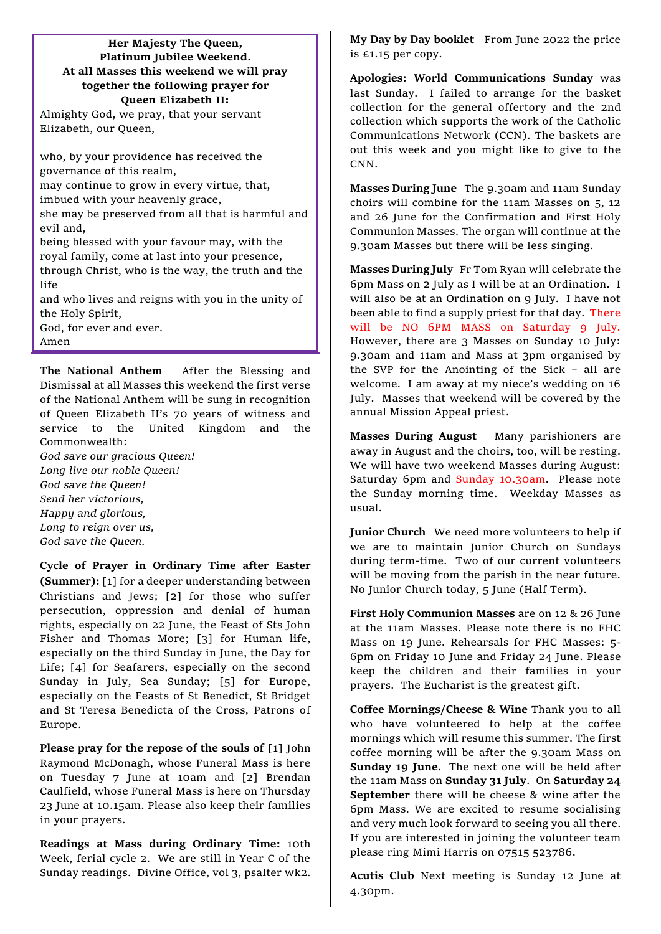#### **Her Majesty The Queen, Platinum Jubilee Weekend. At all Masses this weekend we will pray together the following prayer for Queen Elizabeth II:**

Almighty God, we pray, that your servant Elizabeth, our Queen,

who, by your providence has received the governance of this realm, may continue to grow in every virtue, that, imbued with your heavenly grace, she may be preserved from all that is harmful and evil and, being blessed with your favour may, with the royal family, come at last into your presence, through Christ, who is the way, the truth and the life and who lives and reigns with you in the unity of the Holy Spirit, God, for ever and ever.

Amen

**The National Anthem** After the Blessing and Dismissal at all Masses this weekend the first verse of the National Anthem will be sung in recognition of Queen Elizabeth II's 70 years of witness and service to the United Kingdom and the Commonwealth: *God save our gracious Queen!*

*Long live our noble Queen! God save the Queen! Send her victorious, Happy and glorious, Long to reign over us, God save the Queen.*

**Cycle of Prayer in Ordinary Time after Easter (Summer):** [1] for a deeper understanding between Christians and Jews; [2] for those who suffer persecution, oppression and denial of human rights, especially on 22 June, the Feast of Sts John Fisher and Thomas More; [3] for Human life, especially on the third Sunday in June, the Day for Life; [4] for Seafarers, especially on the second Sunday in July, Sea Sunday; [5] for Europe, especially on the Feasts of St Benedict, St Bridget and St Teresa Benedicta of the Cross, Patrons of Europe.

**Please pray for the repose of the souls of** [1] John Raymond McDonagh, whose Funeral Mass is here on Tuesday 7 June at 10am and [2] Brendan Caulfield, whose Funeral Mass is here on Thursday 23 June at 10.15am. Please also keep their families in your prayers.

**Readings at Mass during Ordinary Time:** 10th Week, ferial cycle 2. We are still in Year C of the Sunday readings. Divine Office, vol 3, psalter wk2.

**My Day by Day booklet** From June 2022 the price is £1.15 per copy.

**Apologies: World Communications Sunday** was last Sunday. I failed to arrange for the basket collection for the general offertory and the 2nd collection which supports the work of the Catholic Communications Network (CCN). The baskets are out this week and you might like to give to the CNN.

**Masses During June** The 9.30am and 11am Sunday choirs will combine for the 11am Masses on 5, 12 and 26 June for the Confirmation and First Holy Communion Masses. The organ will continue at the 9.30am Masses but there will be less singing.

**Masses During July** Fr Tom Ryan will celebrate the 6pm Mass on 2 July as I will be at an Ordination. I will also be at an Ordination on 9 July. I have not been able to find a supply priest for that day. There will be NO 6PM MASS on Saturday 9 July. However, there are 3 Masses on Sunday 10 July: 9.30am and 11am and Mass at 3pm organised by the SVP for the Anointing of the Sick – all are welcome. I am away at my niece's wedding on 16 July. Masses that weekend will be covered by the annual Mission Appeal priest.

**Masses During August** Many parishioners are away in August and the choirs, too, will be resting. We will have two weekend Masses during August: Saturday 6pm and Sunday 10.30am. Please note the Sunday morning time. Weekday Masses as usual.

**Junior Church** We need more volunteers to help if we are to maintain Junior Church on Sundays during term-time. Two of our current volunteers will be moving from the parish in the near future. No Junior Church today, 5 June (Half Term).

**First Holy Communion Masses** are on 12 & 26 June at the 11am Masses. Please note there is no FHC Mass on 19 June. Rehearsals for FHC Masses: 5- 6pm on Friday 10 June and Friday 24 June. Please keep the children and their families in your prayers. The Eucharist is the greatest gift.

**Coffee Mornings/Cheese & Wine** Thank you to all who have volunteered to help at the coffee mornings which will resume this summer. The first coffee morning will be after the 9.30am Mass on **Sunday 19 June**. The next one will be held after the 11am Mass on **Sunday 31 July**. On **Saturday 24 September** there will be cheese & wine after the 6pm Mass. We are excited to resume socialising and very much look forward to seeing you all there. If you are interested in joining the volunteer team please ring Mimi Harris on 07515 523786.

**Acutis Club** Next meeting is Sunday 12 June at 4.30pm.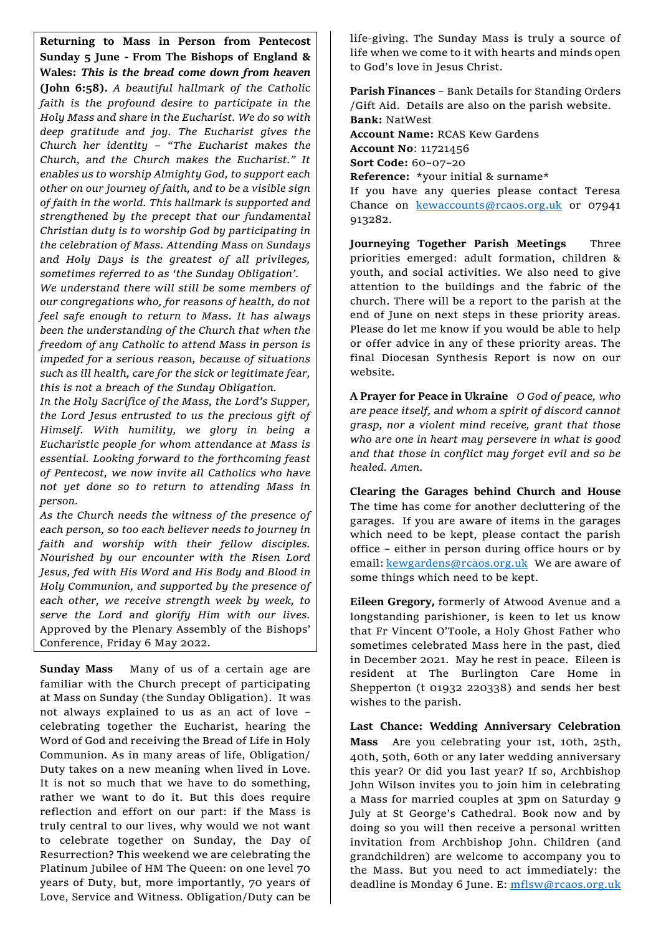**Returning to Mass in Person from Pentecost Sunday 5 June - From The Bishops of England & Wales:** *This is the bread come down from heaven* **(John 6:58).** *A beautiful hallmark of the Catholic faith is the profound desire to participate in the Holy Mass and share in the Eucharist. We do so with deep gratitude and joy. The Eucharist gives the Church her identity – "The Eucharist makes the Church, and the Church makes the Eucharist." It enables us to worship Almighty God, to support each other on our journey of faith, and to be a visible sign of faith in the world. This hallmark is supported and strengthened by the precept that our fundamental Christian duty is to worship God by participating in the celebration of Mass. Attending Mass on Sundays and Holy Days is the greatest of all privileges, sometimes referred to as 'the Sunday Obligation'.*

*We understand there will still be some members of our congregations who, for reasons of health, do not feel safe enough to return to Mass. It has always been the understanding of the Church that when the freedom of any Catholic to attend Mass in person is impeded for a serious reason, because of situations such as ill health, care for the sick or legitimate fear, this is not a breach of the Sunday Obligation.*

*In the Holy Sacrifice of the Mass, the Lord's Supper, the Lord Jesus entrusted to us the precious gift of Himself. With humility, we glory in being a Eucharistic people for whom attendance at Mass is essential. Looking forward to the forthcoming feast of Pentecost, we now invite all Catholics who have not yet done so to return to attending Mass in person.*

*As the Church needs the witness of the presence of each person, so too each believer needs to journey in faith and worship with their fellow disciples. Nourished by our encounter with the Risen Lord Jesus, fed with His Word and His Body and Blood in Holy Communion, and supported by the presence of each other, we receive strength week by week, to serve the Lord and glorify Him with our lives.*  Approved by the Plenary Assembly of the Bishops' Conference, Friday 6 May 2022.

**Sunday Mass** Many of us of a certain age are familiar with the Church precept of participating at Mass on Sunday (the Sunday Obligation). It was not always explained to us as an act of love – celebrating together the Eucharist, hearing the Word of God and receiving the Bread of Life in Holy Communion. As in many areas of life, Obligation/ Duty takes on a new meaning when lived in Love. It is not so much that we have to do something, rather we want to do it. But this does require reflection and effort on our part: if the Mass is truly central to our lives, why would we not want to celebrate together on Sunday, the Day of Resurrection? This weekend we are celebrating the Platinum Jubilee of HM The Queen: on one level 70 years of Duty, but, more importantly, 70 years of Love, Service and Witness. Obligation/Duty can be

life-giving. The Sunday Mass is truly a source of life when we come to it with hearts and minds open to God's love in Jesus Christ.

**Parish Finances** – Bank Details for Standing Orders /Gift Aid. Details are also on the parish website. **Bank:** NatWest **Account Name:** RCAS Kew Gardens **Account No**: 11721456 **Sort Code:** 60–07–20 **Reference:** \*your initial & surname\* If you have any queries please contact Teresa Chance on [kewaccounts@rcaos.org.uk](mailto:kewaccounts@rcaos.org.uk) or 07941 913282.

**Journeying Together Parish Meetings** Three priorities emerged: adult formation, children & youth, and social activities. We also need to give attention to the buildings and the fabric of the church. There will be a report to the parish at the end of June on next steps in these priority areas. Please do let me know if you would be able to help or offer advice in any of these priority areas. The final Diocesan Synthesis Report is now on our website.

**A Prayer for Peace in Ukraine** *O God of peace, who are peace itself, and whom a spirit of discord cannot grasp, nor a violent mind receive, grant that those who are one in heart may persevere in what is good and that those in conflict may forget evil and so be healed. Amen.* 

**Clearing the Garages behind Church and House** The time has come for another decluttering of the garages. If you are aware of items in the garages which need to be kept, please contact the parish office – either in person during office hours or by email: [kewgardens@rcaos.org.uk](mailto:kewgardens@rcaos.org.uk)We are aware of some things which need to be kept.

**Eileen Gregory,** formerly of Atwood Avenue and a longstanding parishioner, is keen to let us know that Fr Vincent O'Toole, a Holy Ghost Father who sometimes celebrated Mass here in the past, died in December 2021. May he rest in peace. Eileen is resident at The Burlington Care Home in Shepperton (t 01932 220338) and sends her best wishes to the parish.

**Last Chance: Wedding Anniversary Celebration Mass** Are you celebrating your 1st, 10th, 25th, 40th, 50th, 60th or any later wedding anniversary this year? Or did you last year? If so, Archbishop John Wilson invites you to join him in celebrating a Mass for married couples at 3pm on Saturday 9 July at St George's Cathedral. Book now and by doing so you will then receive a personal written invitation from Archbishop John. Children (and grandchildren) are welcome to accompany you to the Mass. But you need to act immediately: the deadline is Monday 6 June. E: [mflsw@rcaos.org.uk](mailto:mflsw@rcaos.org.uk)